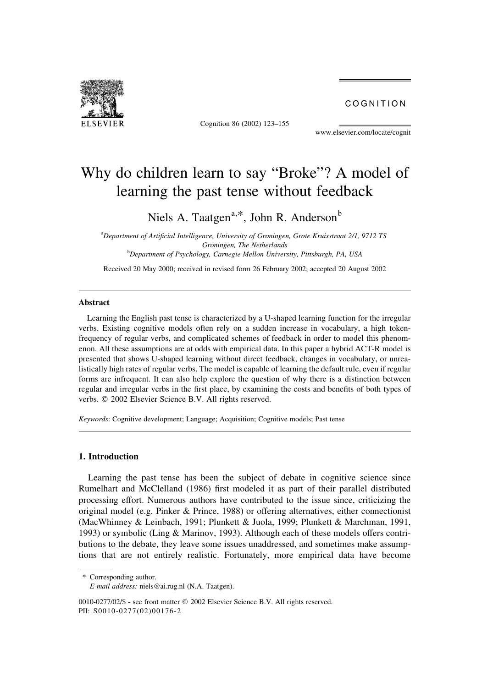# COGNITION



Cognition 86 (2002) 123–155

N.A. Taatgen, J.R. Anderson / Cognition 86 (2002) 123–155 123

www.elsevier.com/locate/cognit

# Why do children learn to say "Broke"? A model of learning the past tense without feedback

Niels A. Taatgen<sup>a,\*</sup>, John R. Anderson<sup>b</sup>

<sup>a</sup>Department of Artificial Intelligence, University of Groningen, Grote Kruisstraat 2/1, 9712 TS Groningen, The Netherlands <sup>b</sup>Department of Psychology, Carnegie Mellon University, Pittsburgh, PA, USA

Received 20 May 2000; received in revised form 26 February 2002; accepted 20 August 2002

#### Abstract

Learning the English past tense is characterized by a U-shaped learning function for the irregular verbs. Existing cognitive models often rely on a sudden increase in vocabulary, a high tokenfrequency of regular verbs, and complicated schemes of feedback in order to model this phenomenon. All these assumptions are at odds with empirical data. In this paper a hybrid ACT-R model is presented that shows U-shaped learning without direct feedback, changes in vocabulary, or unrealistically high rates of regular verbs. The model is capable of learning the default rule, even if regular forms are infrequent. It can also help explore the question of why there is a distinction between regular and irregular verbs in the first place, by examining the costs and benefits of both types of verbs.  $©$  2002 Elsevier Science B.V. All rights reserved.

Keywords: Cognitive development; Language; Acquisition; Cognitive models; Past tense

## 1. Introduction

Learning the past tense has been the subject of debate in cognitive science since Rumelhart and McClelland (1986) first modeled it as part of their parallel distributed processing effort. Numerous authors have contributed to the issue since, criticizing the original model (e.g. Pinker & Prince, 1988) or offering alternatives, either connectionist (MacWhinney & Leinbach, 1991; Plunkett & Juola, 1999; Plunkett & Marchman, 1991, 1993) or symbolic (Ling & Marinov, 1993). Although each of these models offers contributions to the debate, they leave some issues unaddressed, and sometimes make assumptions that are not entirely realistic. Fortunately, more empirical data have become

<sup>\*</sup> Corresponding author.

E-mail address: niels@ai.rug.nl (N.A. Taatgen).

<sup>0010-0277/02/\$ -</sup> see front matter © 2002 Elsevier Science B.V. All rights reserved. PII: S0010-0277(02)00176-2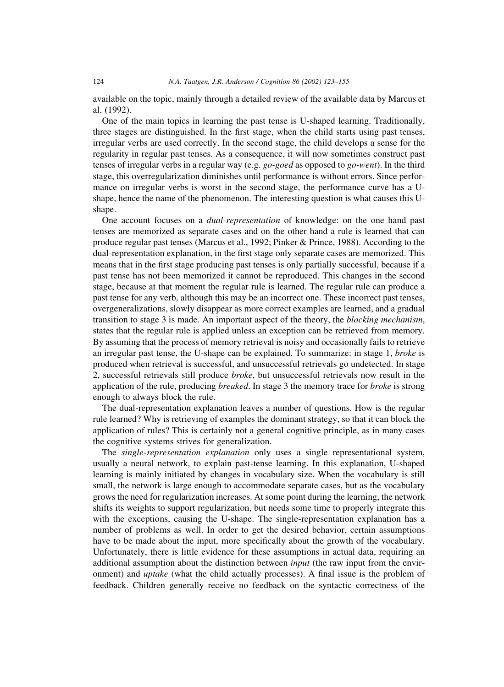available on the topic, mainly through a detailed review of the available data by Marcus et al. (1992).

One of the main topics in learning the past tense is U-shaped learning. Traditionally, three stages are distinguished. In the first stage, when the child starts using past tenses, irregular verbs are used correctly. In the second stage, the child develops a sense for the regularity in regular past tenses. As a consequence, it will now sometimes construct past tenses of irregular verbs in a regular way (e.g. *go-goed* as opposed to *go-went*). In the third stage, this overregularization diminishes until performance is without errors. Since performance on irregular verbs is worst in the second stage, the performance curve has a Ushape, hence the name of the phenomenon. The interesting question is what causes this Ushape.

One account focuses on a dual-representation of knowledge: on the one hand past tenses are memorized as separate cases and on the other hand a rule is learned that can produce regular past tenses (Marcus et al., 1992; Pinker & Prince, 1988). According to the dual-representation explanation, in the first stage only separate cases are memorized. This means that in the first stage producing past tenses is only partially successful, because if a past tense has not been memorized it cannot be reproduced. This changes in the second stage, because at that moment the regular rule is learned. The regular rule can produce a past tense for any verb, although this may be an incorrect one. These incorrect past tenses, overgeneralizations, slowly disappear as more correct examples are learned, and a gradual transition to stage 3 is made. An important aspect of the theory, the blocking mechanism, states that the regular rule is applied unless an exception can be retrieved from memory. By assuming that the process of memory retrieval is noisy and occasionally fails to retrieve an irregular past tense, the U-shape can be explained. To summarize: in stage 1, broke is produced when retrieval is successful, and unsuccessful retrievals go undetected. In stage 2, successful retrievals still produce broke, but unsuccessful retrievals now result in the application of the rule, producing breaked. In stage 3 the memory trace for broke is strong enough to always block the rule.

The dual-representation explanation leaves a number of questions. How is the regular rule learned? Why is retrieving of examples the dominant strategy, so that it can block the application of rules? This is certainly not a general cognitive principle, as in many cases the cognitive systems strives for generalization.

The single-representation explanation only uses a single representational system, usually a neural network, to explain past-tense learning. In this explanation, U-shaped learning is mainly initiated by changes in vocabulary size. When the vocabulary is still small, the network is large enough to accommodate separate cases, but as the vocabulary grows the need for regularization increases. At some point during the learning, the network shifts its weights to support regularization, but needs some time to properly integrate this with the exceptions, causing the U-shape. The single-representation explanation has a number of problems as well. In order to get the desired behavior, certain assumptions have to be made about the input, more specifically about the growth of the vocabulary. Unfortunately, there is little evidence for these assumptions in actual data, requiring an additional assumption about the distinction between *input* (the raw input from the environment) and *uptake* (what the child actually processes). A final issue is the problem of feedback. Children generally receive no feedback on the syntactic correctness of the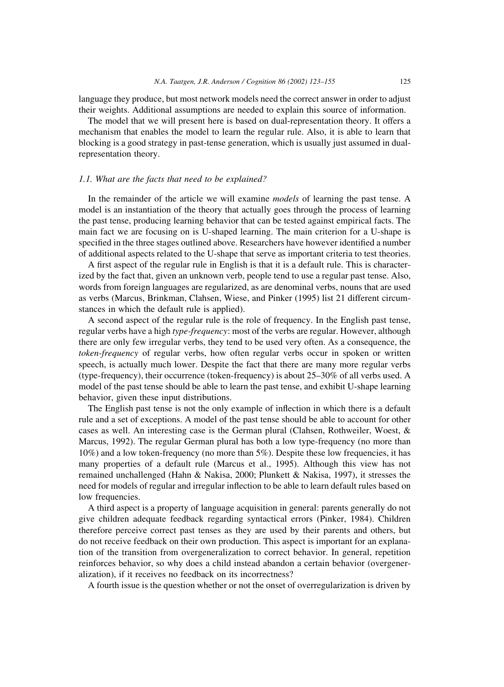language they produce, but most network models need the correct answer in order to adjust their weights. Additional assumptions are needed to explain this source of information.

The model that we will present here is based on dual-representation theory. It offers a mechanism that enables the model to learn the regular rule. Also, it is able to learn that blocking is a good strategy in past-tense generation, which is usually just assumed in dualrepresentation theory.

## 1.1. What are the facts that need to be explained?

In the remainder of the article we will examine *models* of learning the past tense. A model is an instantiation of the theory that actually goes through the process of learning the past tense, producing learning behavior that can be tested against empirical facts. The main fact we are focusing on is U-shaped learning. The main criterion for a U-shape is specified in the three stages outlined above. Researchers have however identified a number of additional aspects related to the U-shape that serve as important criteria to test theories.

A first aspect of the regular rule in English is that it is a default rule. This is characterized by the fact that, given an unknown verb, people tend to use a regular past tense. Also, words from foreign languages are regularized, as are denominal verbs, nouns that are used as verbs (Marcus, Brinkman, Clahsen, Wiese, and Pinker (1995) list 21 different circumstances in which the default rule is applied).

A second aspect of the regular rule is the role of frequency. In the English past tense, regular verbs have a high *type-frequency*: most of the verbs are regular. However, although there are only few irregular verbs, they tend to be used very often. As a consequence, the token-frequency of regular verbs, how often regular verbs occur in spoken or written speech, is actually much lower. Despite the fact that there are many more regular verbs (type-frequency), their occurrence (token-frequency) is about 25–30% of all verbs used. A model of the past tense should be able to learn the past tense, and exhibit U-shape learning behavior, given these input distributions.

The English past tense is not the only example of inflection in which there is a default rule and a set of exceptions. A model of the past tense should be able to account for other cases as well. An interesting case is the German plural (Clahsen, Rothweiler, Woest, & Marcus, 1992). The regular German plural has both a low type-frequency (no more than 10%) and a low token-frequency (no more than 5%). Despite these low frequencies, it has many properties of a default rule (Marcus et al., 1995). Although this view has not remained unchallenged (Hahn & Nakisa, 2000; Plunkett & Nakisa, 1997), it stresses the need for models of regular and irregular inflection to be able to learn default rules based on low frequencies.

A third aspect is a property of language acquisition in general: parents generally do not give children adequate feedback regarding syntactical errors (Pinker, 1984). Children therefore perceive correct past tenses as they are used by their parents and others, but do not receive feedback on their own production. This aspect is important for an explanation of the transition from overgeneralization to correct behavior. In general, repetition reinforces behavior, so why does a child instead abandon a certain behavior (overgeneralization), if it receives no feedback on its incorrectness?

A fourth issue is the question whether or not the onset of overregularization is driven by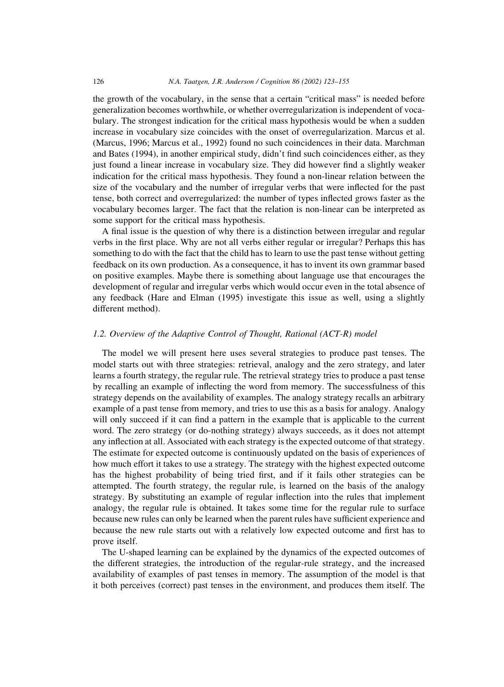the growth of the vocabulary, in the sense that a certain "critical mass" is needed before generalization becomes worthwhile, or whether overregularization is independent of vocabulary. The strongest indication for the critical mass hypothesis would be when a sudden increase in vocabulary size coincides with the onset of overregularization. Marcus et al. (Marcus, 1996; Marcus et al., 1992) found no such coincidences in their data. Marchman and Bates (1994), in another empirical study, didn't find such coincidences either, as they just found a linear increase in vocabulary size. They did however find a slightly weaker indication for the critical mass hypothesis. They found a non-linear relation between the size of the vocabulary and the number of irregular verbs that were inflected for the past tense, both correct and overregularized: the number of types inflected grows faster as the vocabulary becomes larger. The fact that the relation is non-linear can be interpreted as some support for the critical mass hypothesis.

A final issue is the question of why there is a distinction between irregular and regular verbs in the first place. Why are not all verbs either regular or irregular? Perhaps this has something to do with the fact that the child has to learn to use the past tense without getting feedback on its own production. As a consequence, it has to invent its own grammar based on positive examples. Maybe there is something about language use that encourages the development of regular and irregular verbs which would occur even in the total absence of any feedback (Hare and Elman (1995) investigate this issue as well, using a slightly different method).

# 1.2. Overview of the Adaptive Control of Thought, Rational (ACT-R) model

The model we will present here uses several strategies to produce past tenses. The model starts out with three strategies: retrieval, analogy and the zero strategy, and later learns a fourth strategy, the regular rule. The retrieval strategy tries to produce a past tense by recalling an example of inflecting the word from memory. The successfulness of this strategy depends on the availability of examples. The analogy strategy recalls an arbitrary example of a past tense from memory, and tries to use this as a basis for analogy. Analogy will only succeed if it can find a pattern in the example that is applicable to the current word. The zero strategy (or do-nothing strategy) always succeeds, as it does not attempt any inflection at all. Associated with each strategy is the expected outcome of that strategy. The estimate for expected outcome is continuously updated on the basis of experiences of how much effort it takes to use a strategy. The strategy with the highest expected outcome has the highest probability of being tried first, and if it fails other strategies can be attempted. The fourth strategy, the regular rule, is learned on the basis of the analogy strategy. By substituting an example of regular inflection into the rules that implement analogy, the regular rule is obtained. It takes some time for the regular rule to surface because new rules can only be learned when the parent rules have sufficient experience and because the new rule starts out with a relatively low expected outcome and first has to prove itself.

The U-shaped learning can be explained by the dynamics of the expected outcomes of the different strategies, the introduction of the regular-rule strategy, and the increased availability of examples of past tenses in memory. The assumption of the model is that it both perceives (correct) past tenses in the environment, and produces them itself. The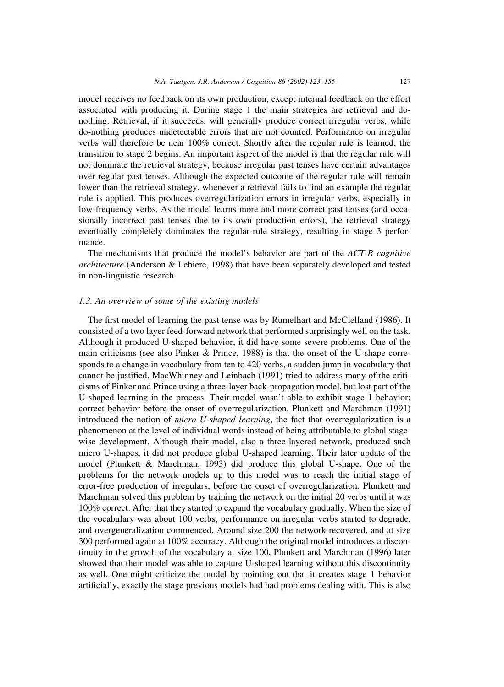model receives no feedback on its own production, except internal feedback on the effort associated with producing it. During stage 1 the main strategies are retrieval and donothing. Retrieval, if it succeeds, will generally produce correct irregular verbs, while do-nothing produces undetectable errors that are not counted. Performance on irregular verbs will therefore be near 100% correct. Shortly after the regular rule is learned, the transition to stage 2 begins. An important aspect of the model is that the regular rule will not dominate the retrieval strategy, because irregular past tenses have certain advantages over regular past tenses. Although the expected outcome of the regular rule will remain lower than the retrieval strategy, whenever a retrieval fails to find an example the regular rule is applied. This produces overregularization errors in irregular verbs, especially in low-frequency verbs. As the model learns more and more correct past tenses (and occasionally incorrect past tenses due to its own production errors), the retrieval strategy eventually completely dominates the regular-rule strategy, resulting in stage 3 performance.

The mechanisms that produce the model's behavior are part of the ACT-R cognitive architecture (Anderson & Lebiere, 1998) that have been separately developed and tested in non-linguistic research.

# 1.3. An overview of some of the existing models

The first model of learning the past tense was by Rumelhart and McClelland (1986). It consisted of a two layer feed-forward network that performed surprisingly well on the task. Although it produced U-shaped behavior, it did have some severe problems. One of the main criticisms (see also Pinker & Prince, 1988) is that the onset of the U-shape corresponds to a change in vocabulary from ten to 420 verbs, a sudden jump in vocabulary that cannot be justified. MacWhinney and Leinbach (1991) tried to address many of the criticisms of Pinker and Prince using a three-layer back-propagation model, but lost part of the U-shaped learning in the process. Their model wasn't able to exhibit stage 1 behavior: correct behavior before the onset of overregularization. Plunkett and Marchman (1991) introduced the notion of *micro U-shaped learning*, the fact that overregularization is a phenomenon at the level of individual words instead of being attributable to global stagewise development. Although their model, also a three-layered network, produced such micro U-shapes, it did not produce global U-shaped learning. Their later update of the model (Plunkett & Marchman, 1993) did produce this global U-shape. One of the problems for the network models up to this model was to reach the initial stage of error-free production of irregulars, before the onset of overregularization. Plunkett and Marchman solved this problem by training the network on the initial 20 verbs until it was 100% correct. After that they started to expand the vocabulary gradually. When the size of the vocabulary was about 100 verbs, performance on irregular verbs started to degrade, and overgeneralization commenced. Around size 200 the network recovered, and at size 300 performed again at 100% accuracy. Although the original model introduces a discontinuity in the growth of the vocabulary at size 100, Plunkett and Marchman (1996) later showed that their model was able to capture U-shaped learning without this discontinuity as well. One might criticize the model by pointing out that it creates stage 1 behavior artificially, exactly the stage previous models had had problems dealing with. This is also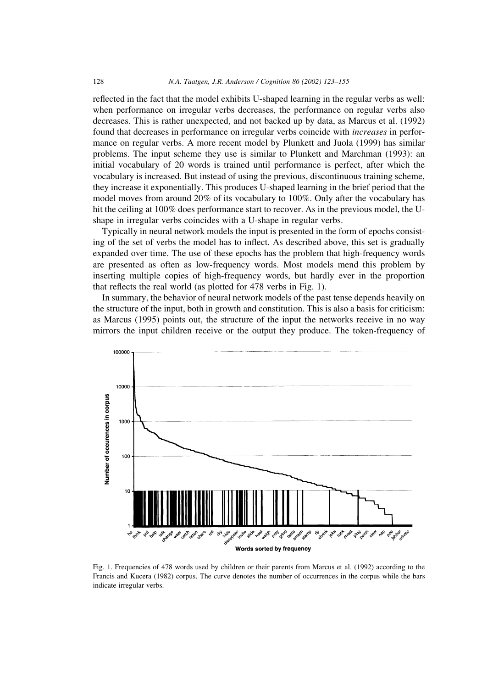#### 128 N.A. Taatgen, J.R. Anderson / Cognition 86 (2002) 123–155

reflected in the fact that the model exhibits U-shaped learning in the regular verbs as well: when performance on irregular verbs decreases, the performance on regular verbs also decreases. This is rather unexpected, and not backed up by data, as Marcus et al. (1992) found that decreases in performance on irregular verbs coincide with increases in performance on regular verbs. A more recent model by Plunkett and Juola (1999) has similar problems. The input scheme they use is similar to Plunkett and Marchman (1993): an initial vocabulary of 20 words is trained until performance is perfect, after which the vocabulary is increased. But instead of using the previous, discontinuous training scheme, they increase it exponentially. This produces U-shaped learning in the brief period that the model moves from around 20% of its vocabulary to 100%. Only after the vocabulary has hit the ceiling at 100% does performance start to recover. As in the previous model, the Ushape in irregular verbs coincides with a U-shape in regular verbs.

Typically in neural network models the input is presented in the form of epochs consisting of the set of verbs the model has to inflect. As described above, this set is gradually expanded over time. The use of these epochs has the problem that high-frequency words are presented as often as low-frequency words. Most models mend this problem by inserting multiple copies of high-frequency words, but hardly ever in the proportion that reflects the real world (as plotted for 478 verbs in Fig. 1).

In summary, the behavior of neural network models of the past tense depends heavily on the structure of the input, both in growth and constitution. This is also a basis for criticism: as Marcus (1995) points out, the structure of the input the networks receive in no way mirrors the input children receive or the output they produce. The token-frequency of



Fig. 1. Frequencies of 478 words used by children or their parents from Marcus et al. (1992) according to the Francis and Kucera (1982) corpus. The curve denotes the number of occurrences in the corpus while the bars indicate irregular verbs.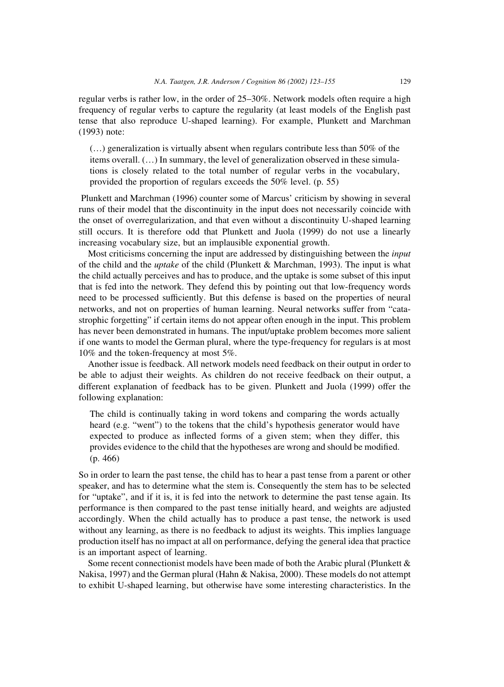regular verbs is rather low, in the order of 25–30%. Network models often require a high frequency of regular verbs to capture the regularity (at least models of the English past tense that also reproduce U-shaped learning). For example, Plunkett and Marchman (1993) note:

(…) generalization is virtually absent when regulars contribute less than 50% of the items overall. (…) In summary, the level of generalization observed in these simulations is closely related to the total number of regular verbs in the vocabulary, provided the proportion of regulars exceeds the 50% level. (p. 55)

Plunkett and Marchman (1996) counter some of Marcus' criticism by showing in several runs of their model that the discontinuity in the input does not necessarily coincide with the onset of overregularization, and that even without a discontinuity U-shaped learning still occurs. It is therefore odd that Plunkett and Juola (1999) do not use a linearly increasing vocabulary size, but an implausible exponential growth.

Most criticisms concerning the input are addressed by distinguishing between the input of the child and the uptake of the child (Plunkett & Marchman, 1993). The input is what the child actually perceives and has to produce, and the uptake is some subset of this input that is fed into the network. They defend this by pointing out that low-frequency words need to be processed sufficiently. But this defense is based on the properties of neural networks, and not on properties of human learning. Neural networks suffer from "catastrophic forgetting" if certain items do not appear often enough in the input. This problem has never been demonstrated in humans. The input/uptake problem becomes more salient if one wants to model the German plural, where the type-frequency for regulars is at most 10% and the token-frequency at most 5%.

Another issue is feedback. All network models need feedback on their output in order to be able to adjust their weights. As children do not receive feedback on their output, a different explanation of feedback has to be given. Plunkett and Juola (1999) offer the following explanation:

The child is continually taking in word tokens and comparing the words actually heard (e.g. "went") to the tokens that the child's hypothesis generator would have expected to produce as inflected forms of a given stem; when they differ, this provides evidence to the child that the hypotheses are wrong and should be modified. (p. 466)

So in order to learn the past tense, the child has to hear a past tense from a parent or other speaker, and has to determine what the stem is. Consequently the stem has to be selected for "uptake", and if it is, it is fed into the network to determine the past tense again. Its performance is then compared to the past tense initially heard, and weights are adjusted accordingly. When the child actually has to produce a past tense, the network is used without any learning, as there is no feedback to adjust its weights. This implies language production itself has no impact at all on performance, defying the general idea that practice is an important aspect of learning.

Some recent connectionist models have been made of both the Arabic plural (Plunkett  $\&$ Nakisa, 1997) and the German plural (Hahn & Nakisa, 2000). These models do not attempt to exhibit U-shaped learning, but otherwise have some interesting characteristics. In the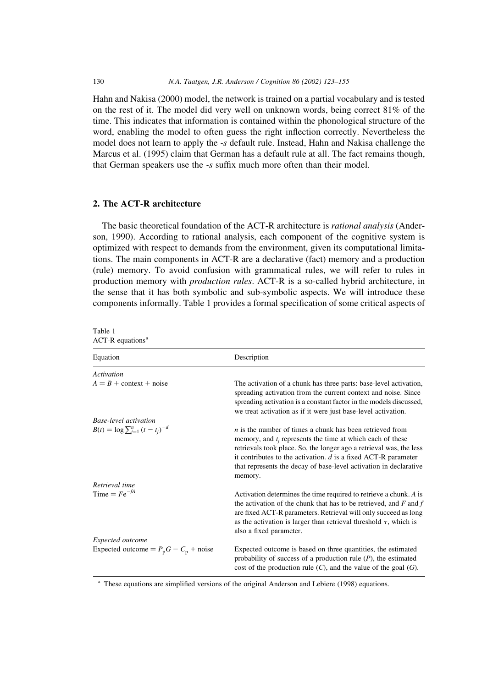Hahn and Nakisa (2000) model, the network is trained on a partial vocabulary and is tested on the rest of it. The model did very well on unknown words, being correct 81% of the time. This indicates that information is contained within the phonological structure of the word, enabling the model to often guess the right inflection correctly. Nevertheless the model does not learn to apply the -s default rule. Instead, Hahn and Nakisa challenge the Marcus et al. (1995) claim that German has a default rule at all. The fact remains though, that German speakers use the -s suffix much more often than their model.

# 2. The ACT-R architecture

The basic theoretical foundation of the ACT-R architecture is rational analysis (Anderson, 1990). According to rational analysis, each component of the cognitive system is optimized with respect to demands from the environment, given its computational limitations. The main components in ACT-R are a declarative (fact) memory and a production (rule) memory. To avoid confusion with grammatical rules, we will refer to rules in production memory with production rules. ACT-R is a so-called hybrid architecture, in the sense that it has both symbolic and sub-symbolic aspects. We will introduce these components informally. Table 1 provides a formal specification of some critical aspects of

Table 1  $ACT-R$  equations<sup>a</sup>

| Equation                                    | Description                                                                                                                                                                                                                                                                                                                                                    |
|---------------------------------------------|----------------------------------------------------------------------------------------------------------------------------------------------------------------------------------------------------------------------------------------------------------------------------------------------------------------------------------------------------------------|
| Activation                                  |                                                                                                                                                                                                                                                                                                                                                                |
| $A = B + \text{context} + \text{noise}$     | The activation of a chunk has three parts: base-level activation,<br>spreading activation from the current context and noise. Since<br>spreading activation is a constant factor in the models discussed,<br>we treat activation as if it were just base-level activation.                                                                                     |
| Base-level activation                       |                                                                                                                                                                                                                                                                                                                                                                |
| $B(t) = \log \sum_{i=1}^{n} (t - t_i)^{-d}$ | $n$ is the number of times a chunk has been retrieved from<br>memory, and t <sub>i</sub> represents the time at which each of these<br>retrievals took place. So, the longer ago a retrieval was, the less<br>it contributes to the activation. $d$ is a fixed ACT-R parameter<br>that represents the decay of base-level activation in declarative<br>memory. |
| Retrieval time                              |                                                                                                                                                                                                                                                                                                                                                                |
| Time = $Fe^{-fA}$                           | Activation determines the time required to retrieve a chunk. A is<br>the activation of the chunk that has to be retrieved, and $F$ and $f$<br>are fixed ACT-R parameters. Retrieval will only succeed as long<br>as the activation is larger than retrieval threshold $\tau$ , which is<br>also a fixed parameter.                                             |
| Expected outcome                            |                                                                                                                                                                                                                                                                                                                                                                |
| Expected outcome = $P_pG - C_p$ + noise     | Expected outcome is based on three quantities, the estimated<br>probability of success of a production rule $(P)$ , the estimated<br>cost of the production rule $(C)$ , and the value of the goal $(G)$ .                                                                                                                                                     |

<sup>a</sup> These equations are simplified versions of the original Anderson and Lebiere (1998) equations.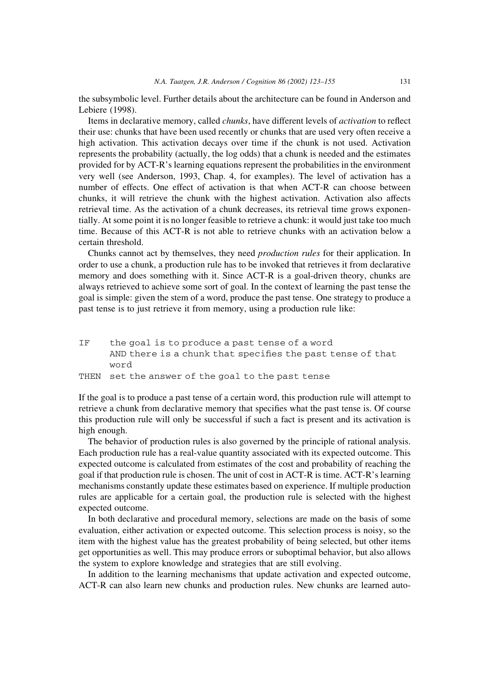the subsymbolic level. Further details about the architecture can be found in Anderson and Lebiere (1998).

Items in declarative memory, called chunks, have different levels of activation to reflect their use: chunks that have been used recently or chunks that are used very often receive a high activation. This activation decays over time if the chunk is not used. Activation represents the probability (actually, the log odds) that a chunk is needed and the estimates provided for by ACT-R's learning equations represent the probabilities in the environment very well (see Anderson, 1993, Chap. 4, for examples). The level of activation has a number of effects. One effect of activation is that when ACT-R can choose between chunks, it will retrieve the chunk with the highest activation. Activation also affects retrieval time. As the activation of a chunk decreases, its retrieval time grows exponentially. At some point it is no longer feasible to retrieve a chunk: it would just take too much time. Because of this ACT-R is not able to retrieve chunks with an activation below a certain threshold.

Chunks cannot act by themselves, they need production rules for their application. In order to use a chunk, a production rule has to be invoked that retrieves it from declarative memory and does something with it. Since ACT-R is a goal-driven theory, chunks are always retrieved to achieve some sort of goal. In the context of learning the past tense the goal is simple: given the stem of a word, produce the past tense. One strategy to produce a past tense is to just retrieve it from memory, using a production rule like:

```
IF the goal is to produce a past tense of a word
     AND there is a chunk that specifies the past tense of that
     word
THEN set the answer of the goal to the past tense
```
If the goal is to produce a past tense of a certain word, this production rule will attempt to retrieve a chunk from declarative memory that specifies what the past tense is. Of course this production rule will only be successful if such a fact is present and its activation is high enough.

The behavior of production rules is also governed by the principle of rational analysis. Each production rule has a real-value quantity associated with its expected outcome. This expected outcome is calculated from estimates of the cost and probability of reaching the goal if that production rule is chosen. The unit of cost in ACT-R is time. ACT-R's learning mechanisms constantly update these estimates based on experience. If multiple production rules are applicable for a certain goal, the production rule is selected with the highest expected outcome.

In both declarative and procedural memory, selections are made on the basis of some evaluation, either activation or expected outcome. This selection process is noisy, so the item with the highest value has the greatest probability of being selected, but other items get opportunities as well. This may produce errors or suboptimal behavior, but also allows the system to explore knowledge and strategies that are still evolving.

In addition to the learning mechanisms that update activation and expected outcome, ACT-R can also learn new chunks and production rules. New chunks are learned auto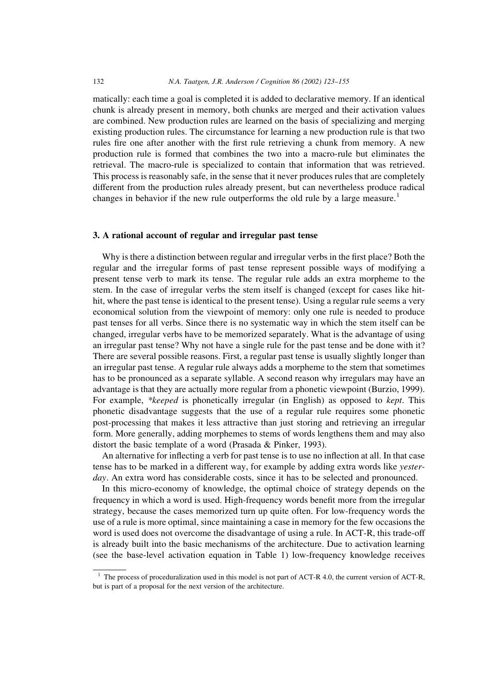matically: each time a goal is completed it is added to declarative memory. If an identical chunk is already present in memory, both chunks are merged and their activation values are combined. New production rules are learned on the basis of specializing and merging existing production rules. The circumstance for learning a new production rule is that two rules fire one after another with the first rule retrieving a chunk from memory. A new production rule is formed that combines the two into a macro-rule but eliminates the retrieval. The macro-rule is specialized to contain that information that was retrieved. This process is reasonably safe, in the sense that it never produces rules that are completely different from the production rules already present, but can nevertheless produce radical changes in behavior if the new rule outperforms the old rule by a large measure.<sup>1</sup>

# 3. A rational account of regular and irregular past tense

Why is there a distinction between regular and irregular verbs in the first place? Both the regular and the irregular forms of past tense represent possible ways of modifying a present tense verb to mark its tense. The regular rule adds an extra morpheme to the stem. In the case of irregular verbs the stem itself is changed (except for cases like hithit, where the past tense is identical to the present tense). Using a regular rule seems a very economical solution from the viewpoint of memory: only one rule is needed to produce past tenses for all verbs. Since there is no systematic way in which the stem itself can be changed, irregular verbs have to be memorized separately. What is the advantage of using an irregular past tense? Why not have a single rule for the past tense and be done with it? There are several possible reasons. First, a regular past tense is usually slightly longer than an irregular past tense. A regular rule always adds a morpheme to the stem that sometimes has to be pronounced as a separate syllable. A second reason why irregulars may have an advantage is that they are actually more regular from a phonetic viewpoint (Burzio, 1999). For example, \*keeped is phonetically irregular (in English) as opposed to kept. This phonetic disadvantage suggests that the use of a regular rule requires some phonetic post-processing that makes it less attractive than just storing and retrieving an irregular form. More generally, adding morphemes to stems of words lengthens them and may also distort the basic template of a word (Prasada & Pinker, 1993).

An alternative for inflecting a verb for past tense is to use no inflection at all. In that case tense has to be marked in a different way, for example by adding extra words like yesterday. An extra word has considerable costs, since it has to be selected and pronounced.

In this micro-economy of knowledge, the optimal choice of strategy depends on the frequency in which a word is used. High-frequency words benefit more from the irregular strategy, because the cases memorized turn up quite often. For low-frequency words the use of a rule is more optimal, since maintaining a case in memory for the few occasions the word is used does not overcome the disadvantage of using a rule. In ACT-R, this trade-off is already built into the basic mechanisms of the architecture. Due to activation learning (see the base-level activation equation in Table 1) low-frequency knowledge receives

<sup>&</sup>lt;sup>1</sup> The process of proceduralization used in this model is not part of ACT-R 4.0, the current version of ACT-R, but is part of a proposal for the next version of the architecture.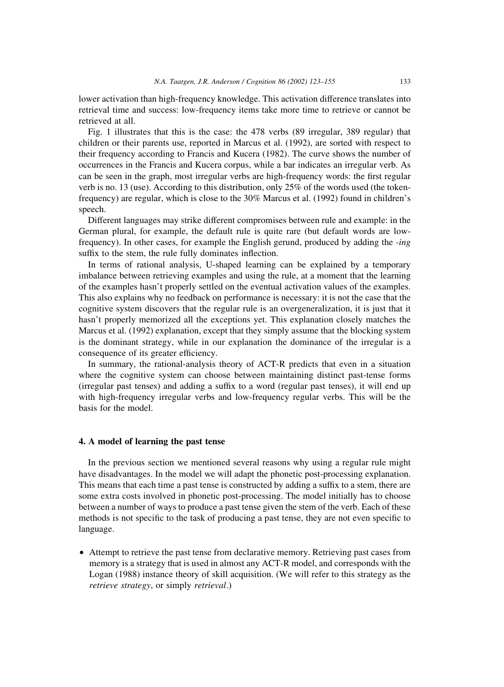lower activation than high-frequency knowledge. This activation difference translates into retrieval time and success: low-frequency items take more time to retrieve or cannot be retrieved at all.

Fig. 1 illustrates that this is the case: the 478 verbs (89 irregular, 389 regular) that children or their parents use, reported in Marcus et al. (1992), are sorted with respect to their frequency according to Francis and Kucera (1982). The curve shows the number of occurrences in the Francis and Kucera corpus, while a bar indicates an irregular verb. As can be seen in the graph, most irregular verbs are high-frequency words: the first regular verb is no. 13 (use). According to this distribution, only 25% of the words used (the tokenfrequency) are regular, which is close to the 30% Marcus et al. (1992) found in children's speech.

Different languages may strike different compromises between rule and example: in the German plural, for example, the default rule is quite rare (but default words are lowfrequency). In other cases, for example the English gerund, produced by adding the -ing suffix to the stem, the rule fully dominates inflection.

In terms of rational analysis, U-shaped learning can be explained by a temporary imbalance between retrieving examples and using the rule, at a moment that the learning of the examples hasn't properly settled on the eventual activation values of the examples. This also explains why no feedback on performance is necessary: it is not the case that the cognitive system discovers that the regular rule is an overgeneralization, it is just that it hasn't properly memorized all the exceptions yet. This explanation closely matches the Marcus et al. (1992) explanation, except that they simply assume that the blocking system is the dominant strategy, while in our explanation the dominance of the irregular is a consequence of its greater efficiency.

In summary, the rational-analysis theory of ACT-R predicts that even in a situation where the cognitive system can choose between maintaining distinct past-tense forms (irregular past tenses) and adding a suffix to a word (regular past tenses), it will end up with high-frequency irregular verbs and low-frequency regular verbs. This will be the basis for the model.

# 4. A model of learning the past tense

In the previous section we mentioned several reasons why using a regular rule might have disadvantages. In the model we will adapt the phonetic post-processing explanation. This means that each time a past tense is constructed by adding a suffix to a stem, there are some extra costs involved in phonetic post-processing. The model initially has to choose between a number of ways to produce a past tense given the stem of the verb. Each of these methods is not specific to the task of producing a past tense, they are not even specific to language.

• Attempt to retrieve the past tense from declarative memory. Retrieving past cases from memory is a strategy that is used in almost any ACT-R model, and corresponds with the Logan (1988) instance theory of skill acquisition. (We will refer to this strategy as the retrieve strategy, or simply retrieval.)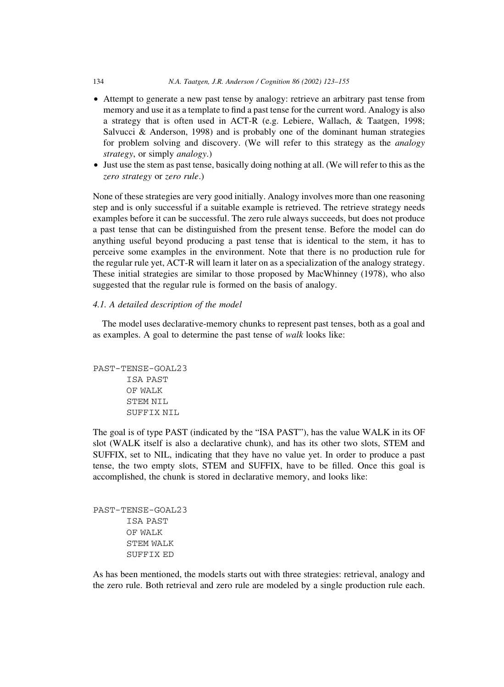#### 134 N.A. Taatgen, J.R. Anderson / Cognition 86 (2002) 123–155

- Attempt to generate a new past tense by analogy: retrieve an arbitrary past tense from memory and use it as a template to find a past tense for the current word. Analogy is also a strategy that is often used in ACT-R (e.g. Lebiere, Wallach, & Taatgen, 1998; Salvucci & Anderson, 1998) and is probably one of the dominant human strategies for problem solving and discovery. (We will refer to this strategy as the analogy strategy, or simply analogy.)
- Just use the stem as past tense, basically doing nothing at all. (We will refer to this as the zero strategy or zero rule.)

None of these strategies are very good initially. Analogy involves more than one reasoning step and is only successful if a suitable example is retrieved. The retrieve strategy needs examples before it can be successful. The zero rule always succeeds, but does not produce a past tense that can be distinguished from the present tense. Before the model can do anything useful beyond producing a past tense that is identical to the stem, it has to perceive some examples in the environment. Note that there is no production rule for the regular rule yet, ACT-R will learn it later on as a specialization of the analogy strategy. These initial strategies are similar to those proposed by MacWhinney (1978), who also suggested that the regular rule is formed on the basis of analogy.

# 4.1. A detailed description of the model

The model uses declarative-memory chunks to represent past tenses, both as a goal and as examples. A goal to determine the past tense of walk looks like:

PAST-TENSE-GOAL23 ISA PAST OF WALK STEM NIL SUFFIX NIL

The goal is of type PAST (indicated by the "ISA PAST"), has the value WALK in its OF slot (WALK itself is also a declarative chunk), and has its other two slots, STEM and SUFFIX, set to NIL, indicating that they have no value yet. In order to produce a past tense, the two empty slots, STEM and SUFFIX, have to be filled. Once this goal is accomplished, the chunk is stored in declarative memory, and looks like:

PAST-TENSE-GOAL23 ISA PAST OF WALK STEM WALK SUFFIX ED

As has been mentioned, the models starts out with three strategies: retrieval, analogy and the zero rule. Both retrieval and zero rule are modeled by a single production rule each.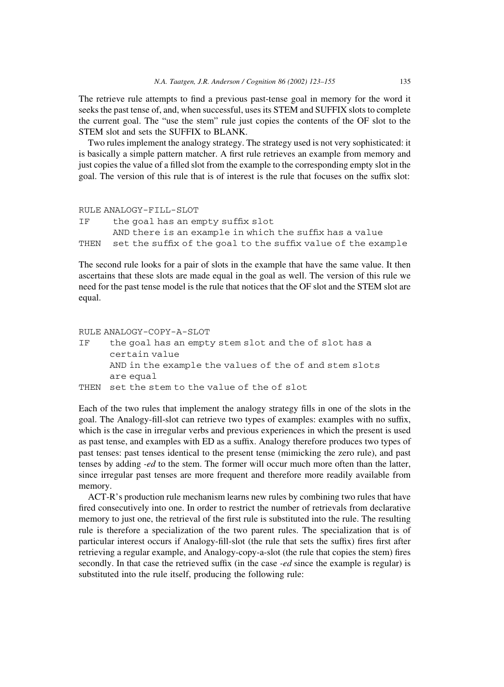The retrieve rule attempts to find a previous past-tense goal in memory for the word it seeks the past tense of, and, when successful, uses its STEM and SUFFIX slots to complete the current goal. The "use the stem" rule just copies the contents of the OF slot to the STEM slot and sets the SUFFIX to BLANK.

Two rules implement the analogy strategy. The strategy used is not very sophisticated: it is basically a simple pattern matcher. A first rule retrieves an example from memory and just copies the value of a filled slot from the example to the corresponding empty slot in the goal. The version of this rule that is of interest is the rule that focuses on the suffix slot:

```
RULE ANALOGY-FILL-SLOT
```

```
IF the goal has an empty suffix slot
      AND there is an example in which the suffix has a value
THEN set the suffix of the goal to the suffix value of the example
```
The second rule looks for a pair of slots in the example that have the same value. It then ascertains that these slots are made equal in the goal as well. The version of this rule we need for the past tense model is the rule that notices that the OF slot and the STEM slot are equal.

```
RULE ANALOGY-COPY-A-SLOT
IF the goal has an empty stem slot and the of slot has a
      certain value
      AND in the example the values of the of and stem slots
      are equal
THEN set the stem to the value of the of slot
```
Each of the two rules that implement the analogy strategy fills in one of the slots in the goal. The Analogy-fill-slot can retrieve two types of examples: examples with no suffix, which is the case in irregular verbs and previous experiences in which the present is used as past tense, and examples with ED as a suffix. Analogy therefore produces two types of past tenses: past tenses identical to the present tense (mimicking the zero rule), and past tenses by adding *-ed* to the stem. The former will occur much more often than the latter, since irregular past tenses are more frequent and therefore more readily available from memory.

ACT-R's production rule mechanism learns new rules by combining two rules that have fired consecutively into one. In order to restrict the number of retrievals from declarative memory to just one, the retrieval of the first rule is substituted into the rule. The resulting rule is therefore a specialization of the two parent rules. The specialization that is of particular interest occurs if Analogy-fill-slot (the rule that sets the suffix) fires first after retrieving a regular example, and Analogy-copy-a-slot (the rule that copies the stem) fires secondly. In that case the retrieved suffix (in the case *-ed* since the example is regular) is substituted into the rule itself, producing the following rule: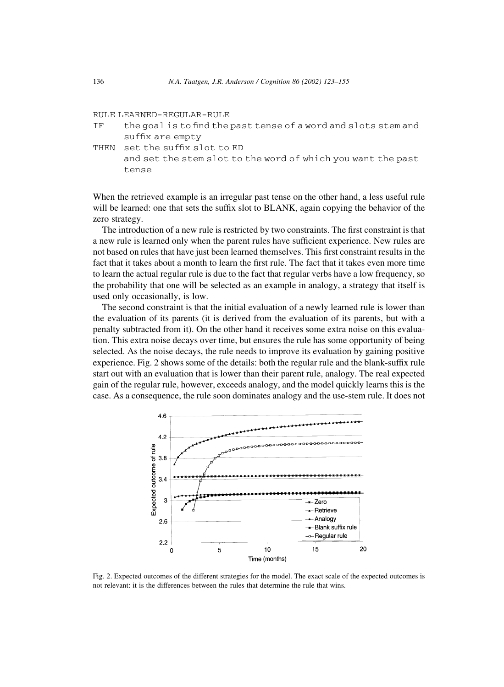```
RULE LEARNED-REGULAR-RULE
IF the goal is to find the past tense of a word and slots stem and
      suffix are empty
THEN set the suffix slot to ED
      and set the stem slot to the word of which you want the past
      tense
```
When the retrieved example is an irregular past tense on the other hand, a less useful rule will be learned: one that sets the suffix slot to BLANK, again copying the behavior of the zero strategy.

The introduction of a new rule is restricted by two constraints. The first constraint is that a new rule is learned only when the parent rules have sufficient experience. New rules are not based on rules that have just been learned themselves. This first constraint results in the fact that it takes about a month to learn the first rule. The fact that it takes even more time to learn the actual regular rule is due to the fact that regular verbs have a low frequency, so the probability that one will be selected as an example in analogy, a strategy that itself is used only occasionally, is low.

The second constraint is that the initial evaluation of a newly learned rule is lower than the evaluation of its parents (it is derived from the evaluation of its parents, but with a penalty subtracted from it). On the other hand it receives some extra noise on this evaluation. This extra noise decays over time, but ensures the rule has some opportunity of being selected. As the noise decays, the rule needs to improve its evaluation by gaining positive experience. Fig. 2 shows some of the details: both the regular rule and the blank-suffix rule start out with an evaluation that is lower than their parent rule, analogy. The real expected gain of the regular rule, however, exceeds analogy, and the model quickly learns this is the case. As a consequence, the rule soon dominates analogy and the use-stem rule. It does not



Fig. 2. Expected outcomes of the different strategies for the model. The exact scale of the expected outcomes is not relevant: it is the differences between the rules that determine the rule that wins.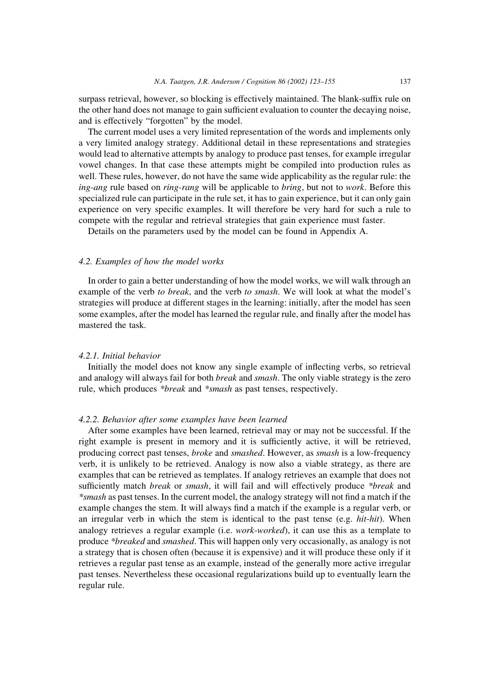surpass retrieval, however, so blocking is effectively maintained. The blank-suffix rule on the other hand does not manage to gain sufficient evaluation to counter the decaying noise, and is effectively "forgotten" by the model.

The current model uses a very limited representation of the words and implements only a very limited analogy strategy. Additional detail in these representations and strategies would lead to alternative attempts by analogy to produce past tenses, for example irregular vowel changes. In that case these attempts might be compiled into production rules as well. These rules, however, do not have the same wide applicability as the regular rule: the ing-ang rule based on ring-rang will be applicable to *bring*, but not to *work*. Before this specialized rule can participate in the rule set, it has to gain experience, but it can only gain experience on very specific examples. It will therefore be very hard for such a rule to compete with the regular and retrieval strategies that gain experience must faster.

Details on the parameters used by the model can be found in Appendix A.

## 4.2. Examples of how the model works

In order to gain a better understanding of how the model works, we will walk through an example of the verb to break, and the verb to smash. We will look at what the model's strategies will produce at different stages in the learning: initially, after the model has seen some examples, after the model has learned the regular rule, and finally after the model has mastered the task.

# 4.2.1. Initial behavior

Initially the model does not know any single example of inflecting verbs, so retrieval and analogy will always fail for both *break* and *smash*. The only viable strategy is the zero rule, which produces \*break and \*smash as past tenses, respectively.

## 4.2.2. Behavior after some examples have been learned

After some examples have been learned, retrieval may or may not be successful. If the right example is present in memory and it is sufficiently active, it will be retrieved, producing correct past tenses, *broke* and *smashed*. However, as *smash* is a low-frequency verb, it is unlikely to be retrieved. Analogy is now also a viable strategy, as there are examples that can be retrieved as templates. If analogy retrieves an example that does not sufficiently match *break* or *smash*, it will fail and will effectively produce \*break and \*smash as past tenses. In the current model, the analogy strategy will not find a match if the example changes the stem. It will always find a match if the example is a regular verb, or an irregular verb in which the stem is identical to the past tense (e.g.  $hit-hit$ ). When analogy retrieves a regular example (i.e. work-worked), it can use this as a template to produce \*breaked and smashed. This will happen only very occasionally, as analogy is not a strategy that is chosen often (because it is expensive) and it will produce these only if it retrieves a regular past tense as an example, instead of the generally more active irregular past tenses. Nevertheless these occasional regularizations build up to eventually learn the regular rule.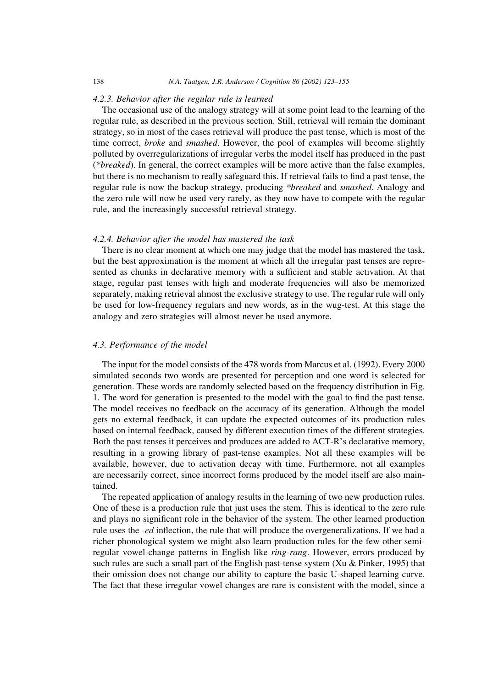#### 138 N.A. Taatgen, J.R. Anderson / Cognition 86 (2002) 123–155

## 4.2.3. Behavior after the regular rule is learned

The occasional use of the analogy strategy will at some point lead to the learning of the regular rule, as described in the previous section. Still, retrieval will remain the dominant strategy, so in most of the cases retrieval will produce the past tense, which is most of the time correct, broke and smashed. However, the pool of examples will become slightly polluted by overregularizations of irregular verbs the model itself has produced in the past (\*breaked). In general, the correct examples will be more active than the false examples, but there is no mechanism to really safeguard this. If retrieval fails to find a past tense, the regular rule is now the backup strategy, producing \*breaked and smashed. Analogy and the zero rule will now be used very rarely, as they now have to compete with the regular rule, and the increasingly successful retrieval strategy.

#### 4.2.4. Behavior after the model has mastered the task

There is no clear moment at which one may judge that the model has mastered the task, but the best approximation is the moment at which all the irregular past tenses are represented as chunks in declarative memory with a sufficient and stable activation. At that stage, regular past tenses with high and moderate frequencies will also be memorized separately, making retrieval almost the exclusive strategy to use. The regular rule will only be used for low-frequency regulars and new words, as in the wug-test. At this stage the analogy and zero strategies will almost never be used anymore.

## 4.3. Performance of the model

The input for the model consists of the 478 words from Marcus et al. (1992). Every 2000 simulated seconds two words are presented for perception and one word is selected for generation. These words are randomly selected based on the frequency distribution in Fig. 1. The word for generation is presented to the model with the goal to find the past tense. The model receives no feedback on the accuracy of its generation. Although the model gets no external feedback, it can update the expected outcomes of its production rules based on internal feedback, caused by different execution times of the different strategies. Both the past tenses it perceives and produces are added to ACT-R's declarative memory, resulting in a growing library of past-tense examples. Not all these examples will be available, however, due to activation decay with time. Furthermore, not all examples are necessarily correct, since incorrect forms produced by the model itself are also maintained.

The repeated application of analogy results in the learning of two new production rules. One of these is a production rule that just uses the stem. This is identical to the zero rule and plays no significant role in the behavior of the system. The other learned production rule uses the -ed inflection, the rule that will produce the overgeneralizations. If we had a richer phonological system we might also learn production rules for the few other semiregular vowel-change patterns in English like ring-rang. However, errors produced by such rules are such a small part of the English past-tense system (Xu  $\&$  Pinker, 1995) that their omission does not change our ability to capture the basic U-shaped learning curve. The fact that these irregular vowel changes are rare is consistent with the model, since a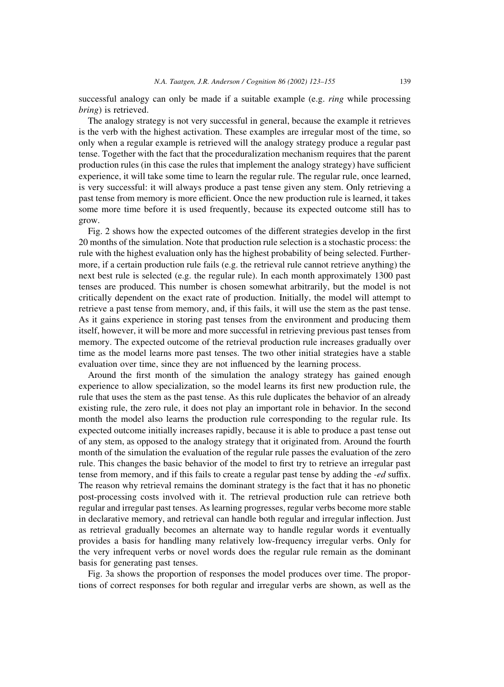successful analogy can only be made if a suitable example (e.g. ring while processing bring) is retrieved.

The analogy strategy is not very successful in general, because the example it retrieves is the verb with the highest activation. These examples are irregular most of the time, so only when a regular example is retrieved will the analogy strategy produce a regular past tense. Together with the fact that the proceduralization mechanism requires that the parent production rules (in this case the rules that implement the analogy strategy) have sufficient experience, it will take some time to learn the regular rule. The regular rule, once learned, is very successful: it will always produce a past tense given any stem. Only retrieving a past tense from memory is more efficient. Once the new production rule is learned, it takes some more time before it is used frequently, because its expected outcome still has to grow.

Fig. 2 shows how the expected outcomes of the different strategies develop in the first 20 months of the simulation. Note that production rule selection is a stochastic process: the rule with the highest evaluation only has the highest probability of being selected. Furthermore, if a certain production rule fails (e.g. the retrieval rule cannot retrieve anything) the next best rule is selected (e.g. the regular rule). In each month approximately 1300 past tenses are produced. This number is chosen somewhat arbitrarily, but the model is not critically dependent on the exact rate of production. Initially, the model will attempt to retrieve a past tense from memory, and, if this fails, it will use the stem as the past tense. As it gains experience in storing past tenses from the environment and producing them itself, however, it will be more and more successful in retrieving previous past tenses from memory. The expected outcome of the retrieval production rule increases gradually over time as the model learns more past tenses. The two other initial strategies have a stable evaluation over time, since they are not influenced by the learning process.

Around the first month of the simulation the analogy strategy has gained enough experience to allow specialization, so the model learns its first new production rule, the rule that uses the stem as the past tense. As this rule duplicates the behavior of an already existing rule, the zero rule, it does not play an important role in behavior. In the second month the model also learns the production rule corresponding to the regular rule. Its expected outcome initially increases rapidly, because it is able to produce a past tense out of any stem, as opposed to the analogy strategy that it originated from. Around the fourth month of the simulation the evaluation of the regular rule passes the evaluation of the zero rule. This changes the basic behavior of the model to first try to retrieve an irregular past tense from memory, and if this fails to create a regular past tense by adding the *-ed* suffix. The reason why retrieval remains the dominant strategy is the fact that it has no phonetic post-processing costs involved with it. The retrieval production rule can retrieve both regular and irregular past tenses. As learning progresses, regular verbs become more stable in declarative memory, and retrieval can handle both regular and irregular inflection. Just as retrieval gradually becomes an alternate way to handle regular words it eventually provides a basis for handling many relatively low-frequency irregular verbs. Only for the very infrequent verbs or novel words does the regular rule remain as the dominant basis for generating past tenses.

Fig. 3a shows the proportion of responses the model produces over time. The proportions of correct responses for both regular and irregular verbs are shown, as well as the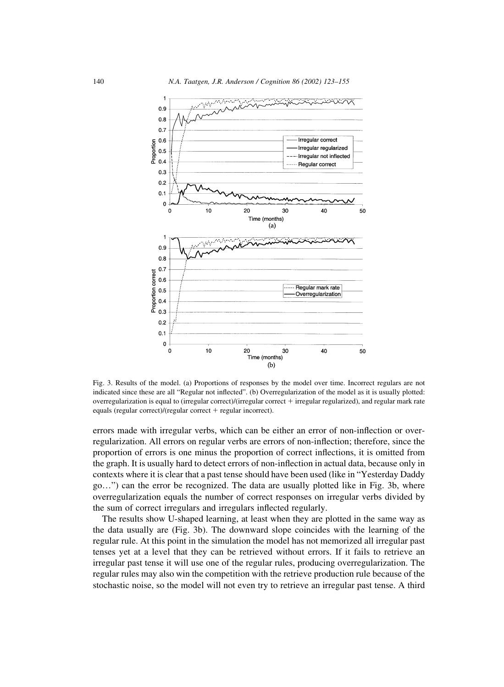

Fig. 3. Results of the model. (a) Proportions of responses by the model over time. Incorrect regulars are not indicated since these are all "Regular not inflected". (b) Overregularization of the model as it is usually plotted: overregularization is equal to (irregular correct)/(irregular correct + irregular regularized), and regular mark rate equals (regular correct)/(regular correct  $+$  regular incorrect).

errors made with irregular verbs, which can be either an error of non-inflection or overregularization. All errors on regular verbs are errors of non-inflection; therefore, since the proportion of errors is one minus the proportion of correct inflections, it is omitted from the graph. It is usually hard to detect errors of non-inflection in actual data, because only in contexts where it is clear that a past tense should have been used (like in "Yesterday Daddy go…") can the error be recognized. The data are usually plotted like in Fig. 3b, where overregularization equals the number of correct responses on irregular verbs divided by the sum of correct irregulars and irregulars inflected regularly.

The results show U-shaped learning, at least when they are plotted in the same way as the data usually are (Fig. 3b). The downward slope coincides with the learning of the regular rule. At this point in the simulation the model has not memorized all irregular past tenses yet at a level that they can be retrieved without errors. If it fails to retrieve an irregular past tense it will use one of the regular rules, producing overregularization. The regular rules may also win the competition with the retrieve production rule because of the stochastic noise, so the model will not even try to retrieve an irregular past tense. A third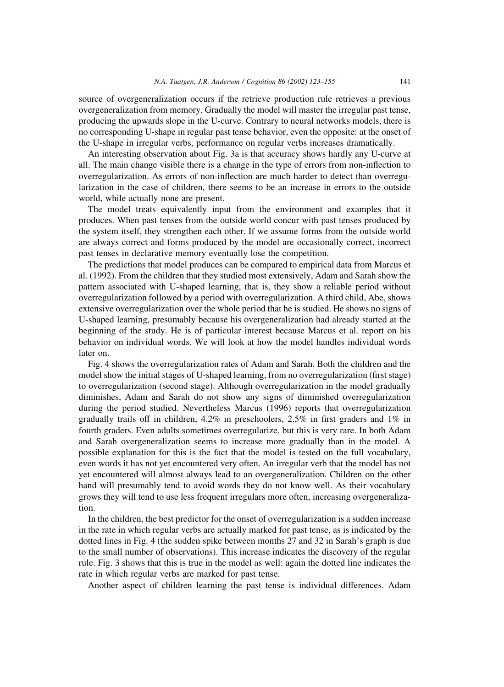source of overgeneralization occurs if the retrieve production rule retrieves a previous overgeneralization from memory. Gradually the model will master the irregular past tense, producing the upwards slope in the U-curve. Contrary to neural networks models, there is no corresponding U-shape in regular past tense behavior, even the opposite: at the onset of the U-shape in irregular verbs, performance on regular verbs increases dramatically.

An interesting observation about Fig. 3a is that accuracy shows hardly any U-curve at all. The main change visible there is a change in the type of errors from non-inflection to overregularization. As errors of non-inflection are much harder to detect than overregularization in the case of children, there seems to be an increase in errors to the outside world, while actually none are present.

The model treats equivalently input from the environment and examples that it produces. When past tenses from the outside world concur with past tenses produced by the system itself, they strengthen each other. If we assume forms from the outside world are always correct and forms produced by the model are occasionally correct, incorrect past tenses in declarative memory eventually lose the competition.

The predictions that model produces can be compared to empirical data from Marcus et al. (1992). From the children that they studied most extensively, Adam and Sarah show the pattern associated with U-shaped learning, that is, they show a reliable period without overregularization followed by a period with overregularization. A third child, Abe, shows extensive overregularization over the whole period that he is studied. He shows no signs of U-shaped learning, presumably because his overgeneralization had already started at the beginning of the study. He is of particular interest because Marcus et al. report on his behavior on individual words. We will look at how the model handles individual words later on.

Fig. 4 shows the overregularization rates of Adam and Sarah. Both the children and the model show the initial stages of U-shaped learning, from no overregularization (first stage) to overregularization (second stage). Although overregularization in the model gradually diminishes, Adam and Sarah do not show any signs of diminished overregularization during the period studied. Nevertheless Marcus (1996) reports that overregularization gradually trails off in children,  $4.2\%$  in preschoolers,  $2.5\%$  in first graders and  $1\%$  in fourth graders. Even adults sometimes overregularize, but this is very rare. In both Adam and Sarah overgeneralization seems to increase more gradually than in the model. A possible explanation for this is the fact that the model is tested on the full vocabulary, even words it has not yet encountered very often. An irregular verb that the model has not yet encountered will almost always lead to an overgeneralization. Children on the other hand will presumably tend to avoid words they do not know well. As their vocabulary grows they will tend to use less frequent irregulars more often, increasing overgeneralization.

In the children, the best predictor for the onset of overregularization is a sudden increase in the rate in which regular verbs are actually marked for past tense, as is indicated by the dotted lines in Fig. 4 (the sudden spike between months 27 and 32 in Sarah's graph is due to the small number of observations). This increase indicates the discovery of the regular rule. Fig. 3 shows that this is true in the model as well: again the dotted line indicates the rate in which regular verbs are marked for past tense.

Another aspect of children learning the past tense is individual differences. Adam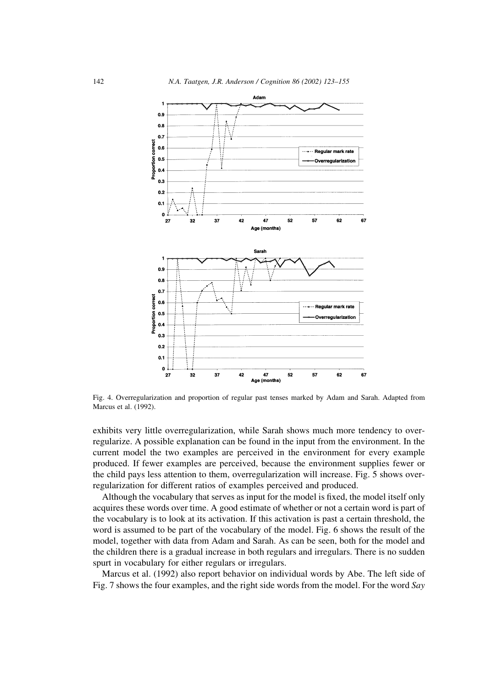

Fig. 4. Overregularization and proportion of regular past tenses marked by Adam and Sarah. Adapted from Marcus et al. (1992).

exhibits very little overregularization, while Sarah shows much more tendency to overregularize. A possible explanation can be found in the input from the environment. In the current model the two examples are perceived in the environment for every example produced. If fewer examples are perceived, because the environment supplies fewer or the child pays less attention to them, overregularization will increase. Fig. 5 shows overregularization for different ratios of examples perceived and produced.

Although the vocabulary that serves as input for the model is fixed, the model itself only acquires these words over time. A good estimate of whether or not a certain word is part of the vocabulary is to look at its activation. If this activation is past a certain threshold, the word is assumed to be part of the vocabulary of the model. Fig. 6 shows the result of the model, together with data from Adam and Sarah. As can be seen, both for the model and the children there is a gradual increase in both regulars and irregulars. There is no sudden spurt in vocabulary for either regulars or irregulars.

Marcus et al. (1992) also report behavior on individual words by Abe. The left side of Fig. 7 shows the four examples, and the right side words from the model. For the word Say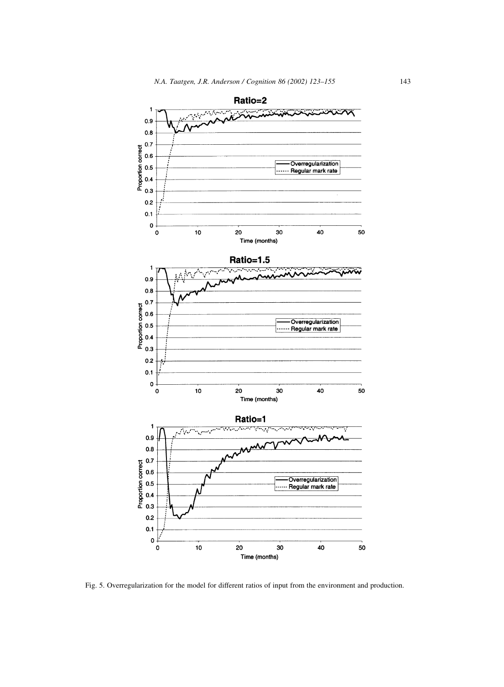

Fig. 5. Overregularization for the model for different ratios of input from the environment and production.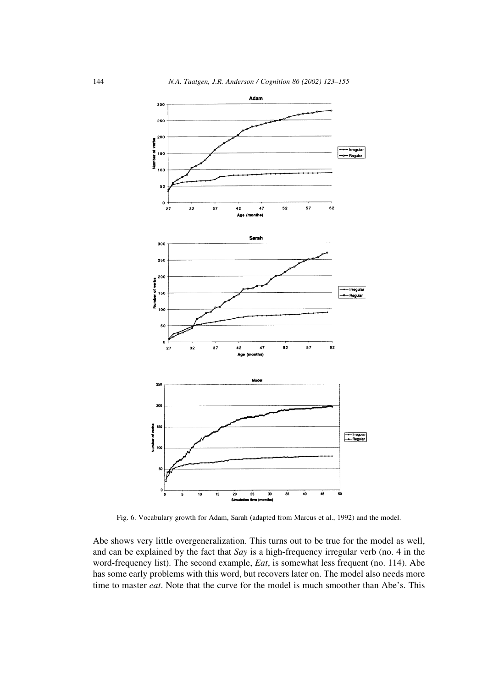

Fig. 6. Vocabulary growth for Adam, Sarah (adapted from Marcus et al., 1992) and the model.

Abe shows very little overgeneralization. This turns out to be true for the model as well, and can be explained by the fact that Say is a high-frequency irregular verb (no. 4 in the word-frequency list). The second example, Eat, is somewhat less frequent (no. 114). Abe has some early problems with this word, but recovers later on. The model also needs more time to master *eat*. Note that the curve for the model is much smoother than Abe's. This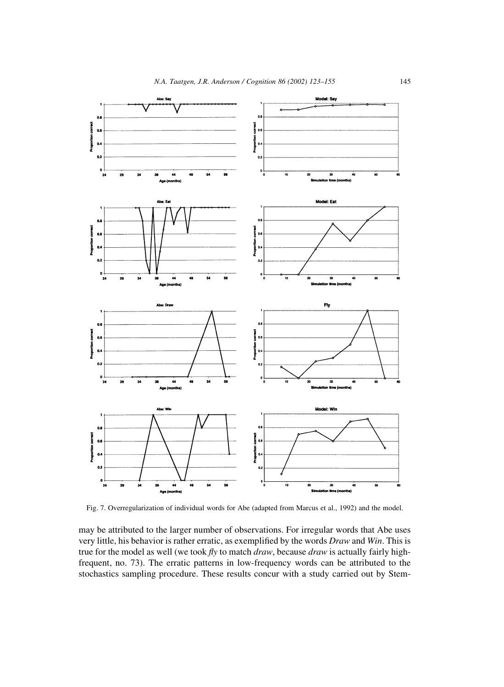

Fig. 7. Overregularization of individual words for Abe (adapted from Marcus et al., 1992) and the model.

may be attributed to the larger number of observations. For irregular words that Abe uses very little, his behavior is rather erratic, as exemplified by the words Draw and Win. This is true for the model as well (we took  $fly$  to match  $draw$ , because  $draw$  is actually fairly highfrequent, no. 73). The erratic patterns in low-frequency words can be attributed to the stochastics sampling procedure. These results concur with a study carried out by Stem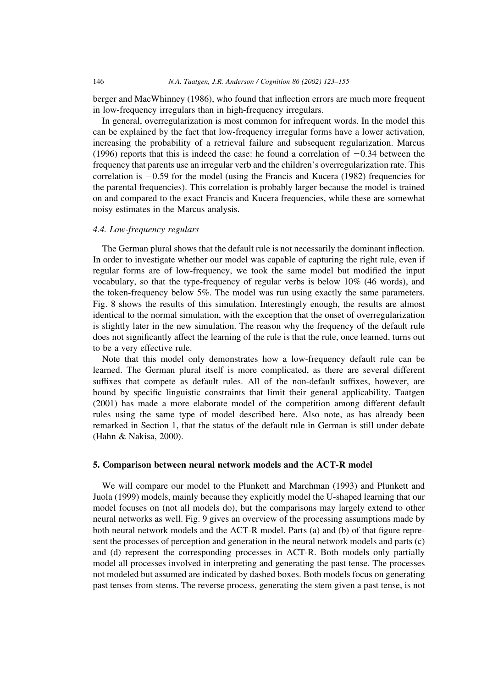berger and MacWhinney (1986), who found that inflection errors are much more frequent in low-frequency irregulars than in high-frequency irregulars.

In general, overregularization is most common for infrequent words. In the model this can be explained by the fact that low-frequency irregular forms have a lower activation, increasing the probability of a retrieval failure and subsequent regularization. Marcus (1996) reports that this is indeed the case: he found a correlation of  $-0.34$  between the frequency that parents use an irregular verb and the children's overregularization rate. This correlation is  $-0.59$  for the model (using the Francis and Kucera (1982) frequencies for the parental frequencies). This correlation is probably larger because the model is trained on and compared to the exact Francis and Kucera frequencies, while these are somewhat noisy estimates in the Marcus analysis.

# 4.4. Low-frequency regulars

The German plural shows that the default rule is not necessarily the dominant inflection. In order to investigate whether our model was capable of capturing the right rule, even if regular forms are of low-frequency, we took the same model but modified the input vocabulary, so that the type-frequency of regular verbs is below 10% (46 words), and the token-frequency below 5%. The model was run using exactly the same parameters. Fig. 8 shows the results of this simulation. Interestingly enough, the results are almost identical to the normal simulation, with the exception that the onset of overregularization is slightly later in the new simulation. The reason why the frequency of the default rule does not significantly affect the learning of the rule is that the rule, once learned, turns out to be a very effective rule.

Note that this model only demonstrates how a low-frequency default rule can be learned. The German plural itself is more complicated, as there are several different suffixes that compete as default rules. All of the non-default suffixes, however, are bound by specific linguistic constraints that limit their general applicability. Taatgen (2001) has made a more elaborate model of the competition among different default rules using the same type of model described here. Also note, as has already been remarked in Section 1, that the status of the default rule in German is still under debate (Hahn & Nakisa, 2000).

## 5. Comparison between neural network models and the ACT-R model

We will compare our model to the Plunkett and Marchman (1993) and Plunkett and Juola (1999) models, mainly because they explicitly model the U-shaped learning that our model focuses on (not all models do), but the comparisons may largely extend to other neural networks as well. Fig. 9 gives an overview of the processing assumptions made by both neural network models and the ACT-R model. Parts (a) and (b) of that figure represent the processes of perception and generation in the neural network models and parts (c) and (d) represent the corresponding processes in ACT-R. Both models only partially model all processes involved in interpreting and generating the past tense. The processes not modeled but assumed are indicated by dashed boxes. Both models focus on generating past tenses from stems. The reverse process, generating the stem given a past tense, is not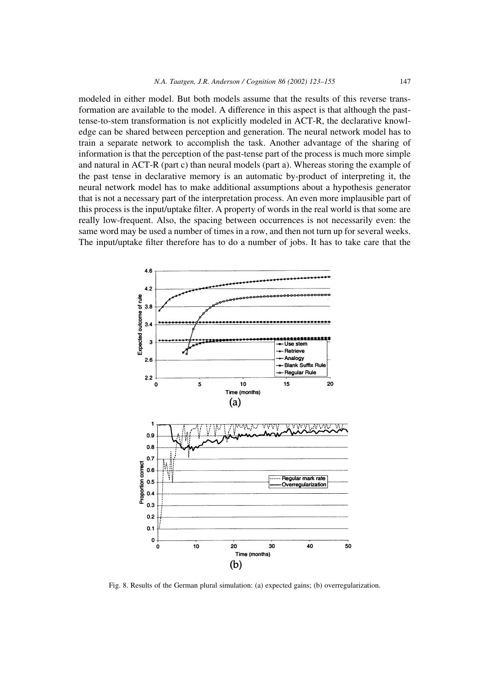modeled in either model. But both models assume that the results of this reverse transformation are available to the model. A difference in this aspect is that although the pasttense-to-stem transformation is not explicitly modeled in ACT-R, the declarative knowledge can be shared between perception and generation. The neural network model has to train a separate network to accomplish the task. Another advantage of the sharing of information is that the perception of the past-tense part of the process is much more simple and natural in ACT-R (part c) than neural models (part a). Whereas storing the example of the past tense in declarative memory is an automatic by-product of interpreting it, the neural network model has to make additional assumptions about a hypothesis generator that is not a necessary part of the interpretation process. An even more implausible part of this process is the input/uptake filter. A property of words in the real world is that some are really low-frequent. Also, the spacing between occurrences is not necessarily even: the same word may be used a number of times in a row, and then not turn up for several weeks. The input/uptake filter therefore has to do a number of jobs. It has to take care that the



Fig. 8. Results of the German plural simulation: (a) expected gains; (b) overregularization.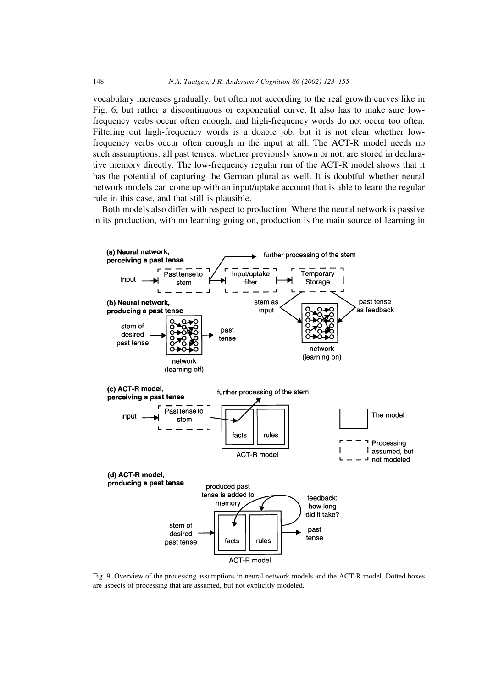vocabulary increases gradually, but often not according to the real growth curves like in Fig. 6, but rather a discontinuous or exponential curve. It also has to make sure lowfrequency verbs occur often enough, and high-frequency words do not occur too often. Filtering out high-frequency words is a doable job, but it is not clear whether lowfrequency verbs occur often enough in the input at all. The ACT-R model needs no such assumptions: all past tenses, whether previously known or not, are stored in declarative memory directly. The low-frequency regular run of the ACT-R model shows that it has the potential of capturing the German plural as well. It is doubtful whether neural network models can come up with an input/uptake account that is able to learn the regular rule in this case, and that still is plausible.

Both models also differ with respect to production. Where the neural network is passive in its production, with no learning going on, production is the main source of learning in



Fig. 9. Overview of the processing assumptions in neural network models and the ACT-R model. Dotted boxes are aspects of processing that are assumed, but not explicitly modeled.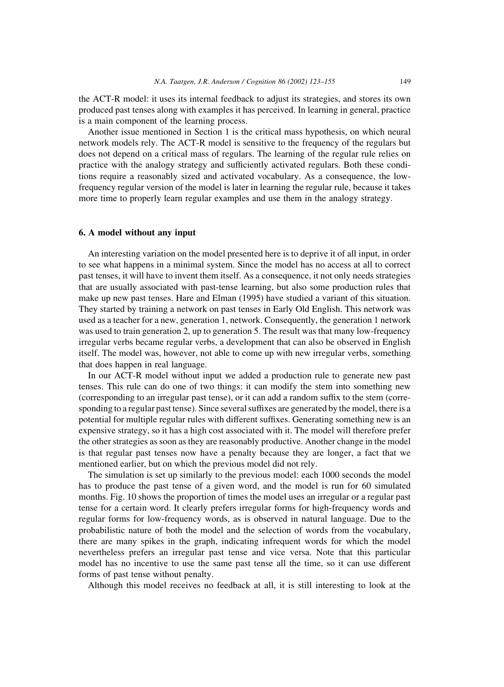the ACT-R model: it uses its internal feedback to adjust its strategies, and stores its own produced past tenses along with examples it has perceived. In learning in general, practice is a main component of the learning process.

Another issue mentioned in Section 1 is the critical mass hypothesis, on which neural network models rely. The ACT-R model is sensitive to the frequency of the regulars but does not depend on a critical mass of regulars. The learning of the regular rule relies on practice with the analogy strategy and sufficiently activated regulars. Both these conditions require a reasonably sized and activated vocabulary. As a consequence, the lowfrequency regular version of the model is later in learning the regular rule, because it takes more time to properly learn regular examples and use them in the analogy strategy.

#### 6. A model without any input

An interesting variation on the model presented here is to deprive it of all input, in order to see what happens in a minimal system. Since the model has no access at all to correct past tenses, it will have to invent them itself. As a consequence, it not only needs strategies that are usually associated with past-tense learning, but also some production rules that make up new past tenses. Hare and Elman (1995) have studied a variant of this situation. They started by training a network on past tenses in Early Old English. This network was used as a teacher for a new, generation 1, network. Consequently, the generation 1 network was used to train generation 2, up to generation 5. The result was that many low-frequency irregular verbs became regular verbs, a development that can also be observed in English itself. The model was, however, not able to come up with new irregular verbs, something that does happen in real language.

In our ACT-R model without input we added a production rule to generate new past tenses. This rule can do one of two things: it can modify the stem into something new (corresponding to an irregular past tense), or it can add a random suffix to the stem (corresponding to a regular past tense). Since several suffixes are generated by the model, there is a potential for multiple regular rules with different suffixes. Generating something new is an expensive strategy, so it has a high cost associated with it. The model will therefore prefer the other strategies as soon as they are reasonably productive. Another change in the model is that regular past tenses now have a penalty because they are longer, a fact that we mentioned earlier, but on which the previous model did not rely.

The simulation is set up similarly to the previous model: each 1000 seconds the model has to produce the past tense of a given word, and the model is run for 60 simulated months. Fig. 10 shows the proportion of times the model uses an irregular or a regular past tense for a certain word. It clearly prefers irregular forms for high-frequency words and regular forms for low-frequency words, as is observed in natural language. Due to the probabilistic nature of both the model and the selection of words from the vocabulary, there are many spikes in the graph, indicating infrequent words for which the model nevertheless prefers an irregular past tense and vice versa. Note that this particular model has no incentive to use the same past tense all the time, so it can use different forms of past tense without penalty.

Although this model receives no feedback at all, it is still interesting to look at the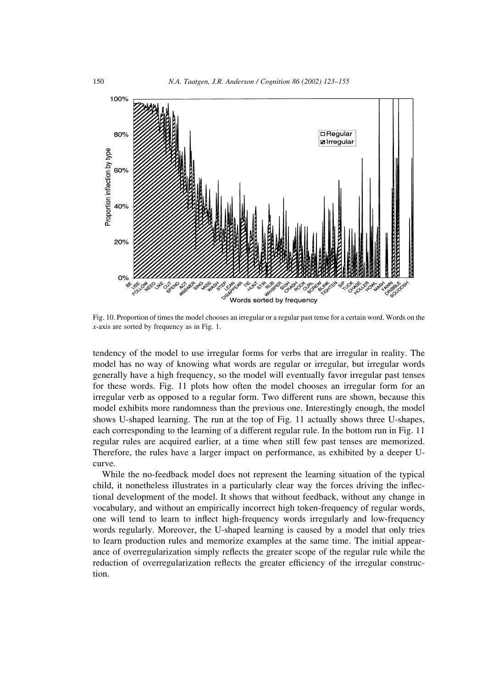

Fig. 10. Proportion of times the model chooses an irregular or a regular past tense for a certain word. Words on the x-axis are sorted by frequency as in Fig. 1.

tendency of the model to use irregular forms for verbs that are irregular in reality. The model has no way of knowing what words are regular or irregular, but irregular words generally have a high frequency, so the model will eventually favor irregular past tenses for these words. Fig. 11 plots how often the model chooses an irregular form for an irregular verb as opposed to a regular form. Two different runs are shown, because this model exhibits more randomness than the previous one. Interestingly enough, the model shows U-shaped learning. The run at the top of Fig. 11 actually shows three U-shapes, each corresponding to the learning of a different regular rule. In the bottom run in Fig. 11 regular rules are acquired earlier, at a time when still few past tenses are memorized. Therefore, the rules have a larger impact on performance, as exhibited by a deeper Ucurve.

While the no-feedback model does not represent the learning situation of the typical child, it nonetheless illustrates in a particularly clear way the forces driving the inflectional development of the model. It shows that without feedback, without any change in vocabulary, and without an empirically incorrect high token-frequency of regular words, one will tend to learn to inflect high-frequency words irregularly and low-frequency words regularly. Moreover, the U-shaped learning is caused by a model that only tries to learn production rules and memorize examples at the same time. The initial appearance of overregularization simply reflects the greater scope of the regular rule while the reduction of overregularization reflects the greater efficiency of the irregular construction.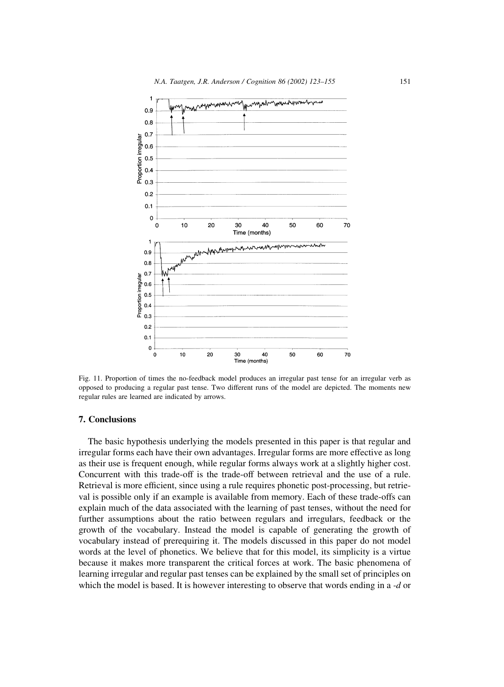

Fig. 11. Proportion of times the no-feedback model produces an irregular past tense for an irregular verb as opposed to producing a regular past tense. Two different runs of the model are depicted. The moments new regular rules are learned are indicated by arrows.

## 7. Conclusions

The basic hypothesis underlying the models presented in this paper is that regular and irregular forms each have their own advantages. Irregular forms are more effective as long as their use is frequent enough, while regular forms always work at a slightly higher cost. Concurrent with this trade-off is the trade-off between retrieval and the use of a rule. Retrieval is more efficient, since using a rule requires phonetic post-processing, but retrieval is possible only if an example is available from memory. Each of these trade-offs can explain much of the data associated with the learning of past tenses, without the need for further assumptions about the ratio between regulars and irregulars, feedback or the growth of the vocabulary. Instead the model is capable of generating the growth of vocabulary instead of prerequiring it. The models discussed in this paper do not model words at the level of phonetics. We believe that for this model, its simplicity is a virtue because it makes more transparent the critical forces at work. The basic phenomena of learning irregular and regular past tenses can be explained by the small set of principles on which the model is based. It is however interesting to observe that words ending in a -d or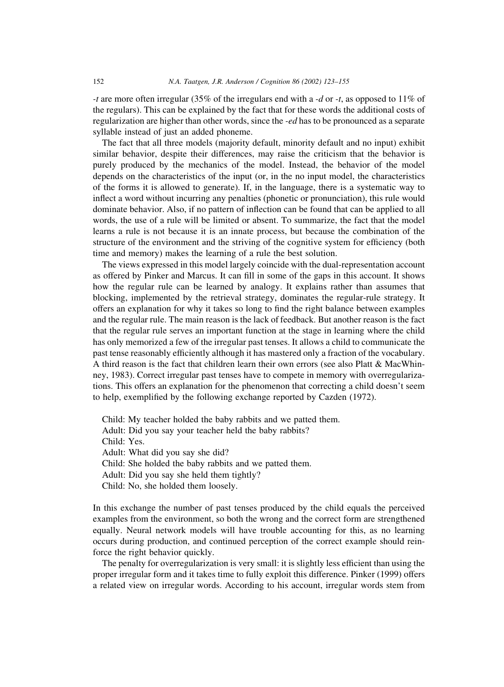-t are more often irregular (35% of the irregulars end with a -d or -t, as opposed to 11% of the regulars). This can be explained by the fact that for these words the additional costs of regularization are higher than other words, since the -ed has to be pronounced as a separate syllable instead of just an added phoneme.

The fact that all three models (majority default, minority default and no input) exhibit similar behavior, despite their differences, may raise the criticism that the behavior is purely produced by the mechanics of the model. Instead, the behavior of the model depends on the characteristics of the input (or, in the no input model, the characteristics of the forms it is allowed to generate). If, in the language, there is a systematic way to inflect a word without incurring any penalties (phonetic or pronunciation), this rule would dominate behavior. Also, if no pattern of inflection can be found that can be applied to all words, the use of a rule will be limited or absent. To summarize, the fact that the model learns a rule is not because it is an innate process, but because the combination of the structure of the environment and the striving of the cognitive system for efficiency (both time and memory) makes the learning of a rule the best solution.

The views expressed in this model largely coincide with the dual-representation account as offered by Pinker and Marcus. It can fill in some of the gaps in this account. It shows how the regular rule can be learned by analogy. It explains rather than assumes that blocking, implemented by the retrieval strategy, dominates the regular-rule strategy. It offers an explanation for why it takes so long to find the right balance between examples and the regular rule. The main reason is the lack of feedback. But another reason is the fact that the regular rule serves an important function at the stage in learning where the child has only memorized a few of the irregular past tenses. It allows a child to communicate the past tense reasonably efficiently although it has mastered only a fraction of the vocabulary. A third reason is the fact that children learn their own errors (see also Platt  $\&$  MacWhinney, 1983). Correct irregular past tenses have to compete in memory with overregularizations. This offers an explanation for the phenomenon that correcting a child doesn't seem to help, exemplified by the following exchange reported by Cazden (1972).

Child: My teacher holded the baby rabbits and we patted them.

Adult: Did you say your teacher held the baby rabbits?

Child: Yes.

Adult: What did you say she did?

Child: She holded the baby rabbits and we patted them.

Adult: Did you say she held them tightly?

Child: No, she holded them loosely.

In this exchange the number of past tenses produced by the child equals the perceived examples from the environment, so both the wrong and the correct form are strengthened equally. Neural network models will have trouble accounting for this, as no learning occurs during production, and continued perception of the correct example should reinforce the right behavior quickly.

The penalty for overregularization is very small: it is slightly less efficient than using the proper irregular form and it takes time to fully exploit this difference. Pinker (1999) offers a related view on irregular words. According to his account, irregular words stem from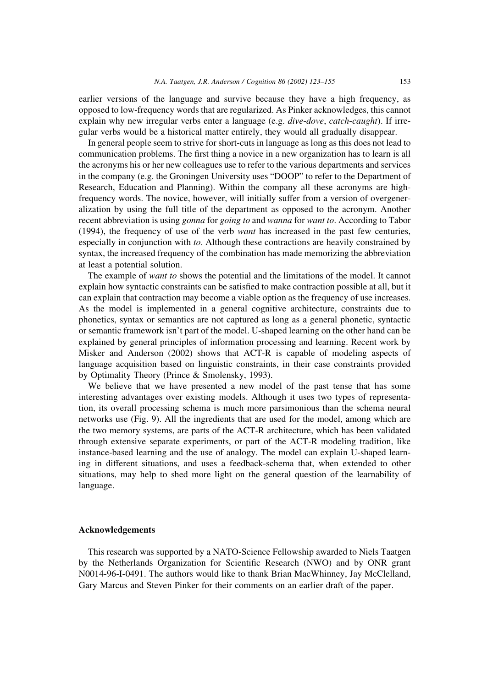earlier versions of the language and survive because they have a high frequency, as opposed to low-frequency words that are regularized. As Pinker acknowledges, this cannot explain why new irregular verbs enter a language (e.g. dive-dove, catch-caught). If irregular verbs would be a historical matter entirely, they would all gradually disappear.

In general people seem to strive for short-cuts in language as long as this does not lead to communication problems. The first thing a novice in a new organization has to learn is all the acronyms his or her new colleagues use to refer to the various departments and services in the company (e.g. the Groningen University uses "DOOP" to refer to the Department of Research, Education and Planning). Within the company all these acronyms are highfrequency words. The novice, however, will initially suffer from a version of overgeneralization by using the full title of the department as opposed to the acronym. Another recent abbreviation is using *gonna* for *going to* and *wanna* for *want to*. According to Tabor (1994), the frequency of use of the verb want has increased in the past few centuries, especially in conjunction with to. Although these contractions are heavily constrained by syntax, the increased frequency of the combination has made memorizing the abbreviation at least a potential solution.

The example of want to shows the potential and the limitations of the model. It cannot explain how syntactic constraints can be satisfied to make contraction possible at all, but it can explain that contraction may become a viable option as the frequency of use increases. As the model is implemented in a general cognitive architecture, constraints due to phonetics, syntax or semantics are not captured as long as a general phonetic, syntactic or semantic framework isn't part of the model. U-shaped learning on the other hand can be explained by general principles of information processing and learning. Recent work by Misker and Anderson (2002) shows that ACT-R is capable of modeling aspects of language acquisition based on linguistic constraints, in their case constraints provided by Optimality Theory (Prince & Smolensky, 1993).

We believe that we have presented a new model of the past tense that has some interesting advantages over existing models. Although it uses two types of representation, its overall processing schema is much more parsimonious than the schema neural networks use (Fig. 9). All the ingredients that are used for the model, among which are the two memory systems, are parts of the ACT-R architecture, which has been validated through extensive separate experiments, or part of the ACT-R modeling tradition, like instance-based learning and the use of analogy. The model can explain U-shaped learning in different situations, and uses a feedback-schema that, when extended to other situations, may help to shed more light on the general question of the learnability of language.

## Acknowledgements

This research was supported by a NATO-Science Fellowship awarded to Niels Taatgen by the Netherlands Organization for Scientific Research (NWO) and by ONR grant N0014-96-I-0491. The authors would like to thank Brian MacWhinney, Jay McClelland, Gary Marcus and Steven Pinker for their comments on an earlier draft of the paper.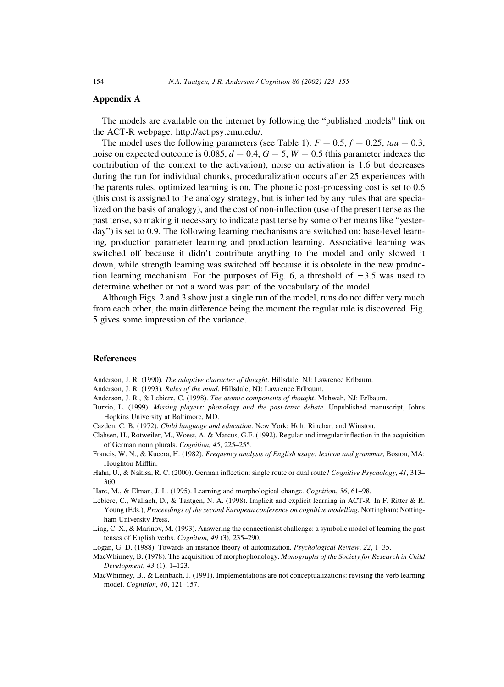# Appendix A

The models are available on the internet by following the "published models" link on the ACT-R webpage: http://act.psy.cmu.edu/.

The model uses the following parameters (see Table 1):  $F = 0.5$ ,  $f = 0.25$ , tau = 0.3, noise on expected outcome is 0.085,  $d = 0.4$ ,  $G = 5$ ,  $W = 0.5$  (this parameter indexes the contribution of the context to the activation), noise on activation is 1.6 but decreases during the run for individual chunks, proceduralization occurs after 25 experiences with the parents rules, optimized learning is on. The phonetic post-processing cost is set to 0.6 (this cost is assigned to the analogy strategy, but is inherited by any rules that are specialized on the basis of analogy), and the cost of non-inflection (use of the present tense as the past tense, so making it necessary to indicate past tense by some other means like "yesterday") is set to 0.9. The following learning mechanisms are switched on: base-level learning, production parameter learning and production learning. Associative learning was switched off because it didn't contribute anything to the model and only slowed it down, while strength learning was switched off because it is obsolete in the new production learning mechanism. For the purposes of Fig. 6, a threshold of  $-3.5$  was used to determine whether or not a word was part of the vocabulary of the model.

Although Figs. 2 and 3 show just a single run of the model, runs do not differ very much from each other, the main difference being the moment the regular rule is discovered. Fig. 5 gives some impression of the variance.

#### References

Anderson, J. R. (1990). The adaptive character of thought. Hillsdale, NJ: Lawrence Erlbaum.

Anderson, J. R. (1993). Rules of the mind. Hillsdale, NJ: Lawrence Erlbaum.

- Anderson, J. R., & Lebiere, C. (1998). The atomic components of thought. Mahwah, NJ: Erlbaum.
- Burzio, L. (1999). Missing players: phonology and the past-tense debate. Unpublished manuscript, Johns Hopkins University at Baltimore, MD.
- Cazden, C. B. (1972). Child language and education. New York: Holt, Rinehart and Winston.
- Clahsen, H., Rotweiler, M., Woest, A. & Marcus, G.F. (1992). Regular and irregular inflection in the acquisition of German noun plurals. Cognition, 45, 225–255.
- Francis, W. N., & Kucera, H. (1982). Frequency analysis of English usage: lexicon and grammar, Boston, MA: Houghton Mifflin.
- Hahn, U., & Nakisa, R. C. (2000). German inflection: single route or dual route? Cognitive Psychology, 41, 313– 360.
- Hare, M., & Elman, J. L. (1995). Learning and morphological change. Cognition, 56, 61–98.
- Lebiere, C., Wallach, D., & Taatgen, N. A. (1998). Implicit and explicit learning in ACT-R. In F. Ritter & R. Young (Eds.), Proceedings of the second European conference on cognitive modelling. Nottingham: Nottingham University Press.
- Ling, C. X., & Marinov, M. (1993). Answering the connectionist challenge: a symbolic model of learning the past tenses of English verbs. Cognition, 49 (3), 235–290.
- Logan, G. D. (1988). Towards an instance theory of automization. Psychological Review, 22, 1–35.
- MacWhinney, B. (1978). The acquisition of morphophonology. Monographs of the Society for Research in Child Development, 43 (1), 1–123.
- MacWhinney, B., & Leinbach, J. (1991). Implementations are not conceptualizations: revising the verb learning model. Cognition, 40, 121–157.